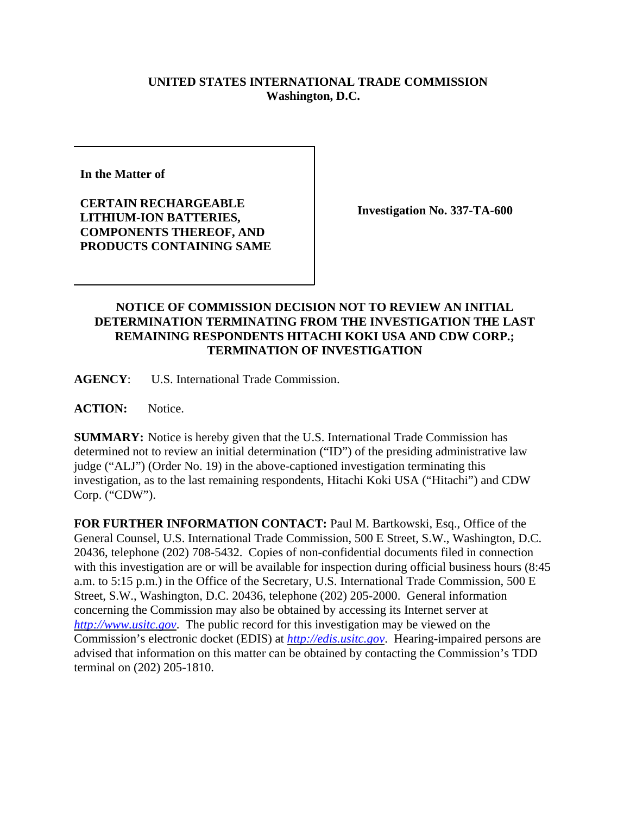## **UNITED STATES INTERNATIONAL TRADE COMMISSION Washington, D.C.**

**In the Matter of** 

**CERTAIN RECHARGEABLE LITHIUM-ION BATTERIES, COMPONENTS THEREOF, AND PRODUCTS CONTAINING SAME**

**Investigation No. 337-TA-600**

## **NOTICE OF COMMISSION DECISION NOT TO REVIEW AN INITIAL DETERMINATION TERMINATING FROM THE INVESTIGATION THE LAST REMAINING RESPONDENTS HITACHI KOKI USA AND CDW CORP.; TERMINATION OF INVESTIGATION**

**AGENCY**: U.S. International Trade Commission.

**ACTION:** Notice.

**SUMMARY:** Notice is hereby given that the U.S. International Trade Commission has determined not to review an initial determination ("ID") of the presiding administrative law judge ("ALJ") (Order No. 19) in the above-captioned investigation terminating this investigation, as to the last remaining respondents, Hitachi Koki USA ("Hitachi") and CDW Corp. ("CDW").

**FOR FURTHER INFORMATION CONTACT:** Paul M. Bartkowski, Esq., Office of the General Counsel, U.S. International Trade Commission, 500 E Street, S.W., Washington, D.C. 20436, telephone (202) 708-5432. Copies of non-confidential documents filed in connection with this investigation are or will be available for inspection during official business hours (8:45 a.m. to 5:15 p.m.) in the Office of the Secretary, U.S. International Trade Commission, 500 E Street, S.W., Washington, D.C. 20436, telephone (202) 205-2000. General information concerning the Commission may also be obtained by accessing its Internet server at *http://www.usitc.gov*. The public record for this investigation may be viewed on the Commission's electronic docket (EDIS) at *http://edis.usitc.gov*. Hearing-impaired persons are advised that information on this matter can be obtained by contacting the Commission's TDD terminal on (202) 205-1810.